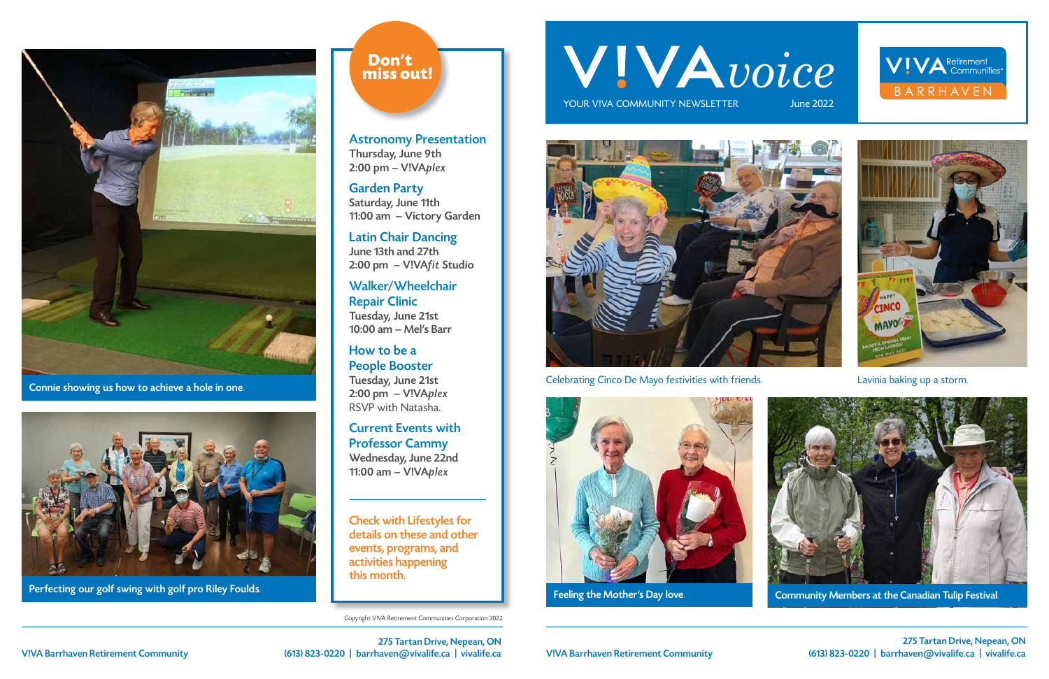Copyright V!VA Retirement Communities Corporation 2022

# WIVAvoice

YOUR VIVA COMMUNITY NEWSLETTER



Celebrating Cinco De Mayo festivities with friends. Lavinia baking up a storm.











275 Tartan Drive, Nepean, ON V!VA Barrhaven Retirement Community (613) 823-0220 | barrhaven@vivalife.ca | vivalife.ca

275 Tartan Drive, Nepean, ON V!VA Barrhaven Retirement Community (613) 823-0220 | barrhaven@vivalife.ca | vivalife.ca



Connie showing us how to achieve a hole in one.



Perfecting our golf swing with golf pro Riley Foulds. The Mother's Day love and the Community Members at the Canadian Tulip Festival.

### Don't miss out!

Astronomy Presentation Thursday, June 9th 2:00 pm – V!VAplex

Garden Party Saturday, June 11th 11:00 am – Victory Garden

Latin Chair Dancing June 13th and 27th 2:00 pm – V!VAfit Studio

Walker/Wheelchair Repair Clinic Tuesday, June 21st 10:00 am – Mel's Barr

How to be a People Booster Tuesday, June 21st 2:00 pm – V!VAplex RSVP with Natasha.

Current Events with Professor Cammy Wednesday, June 22nd 11:00 am – V!VAplex

Check with Lifestyles for details on these and other events, programs, and activities happening this month.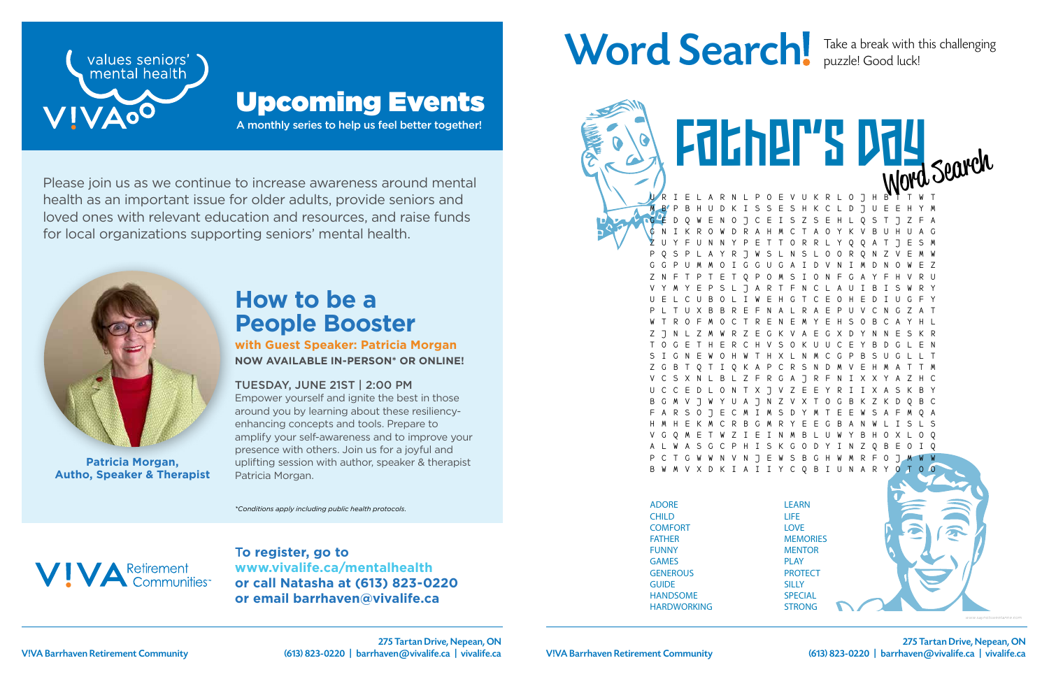275 Tartan Drive, Nepean, ON



T**o register, go to www.vivalife.ca/mentalhealth or call Natasha at (613) 823-0220 or email barrhaven@vivalife.ca**

# Word Search! Take a break with this challenging

E V U K R L O J H M B P B H U D K I S S E S H K C L D J U E E H Y M G E D Q W E N O J C E I S Z S E H L Q S T J Z F A G N I K R O W D R A H M C T A O Y K V B U H U A G Z U Y F U N N Y P E T T O R R L Y Q Q A T J E S M P Q S P L A Y R J W S L N S L O O R Q N Z V E M W G G P U M M O I G G U G A I D V N I M D N O W E Z Z N F T P T E T Q P O M S I O N F G A Y F H V R U V Y M Y E P S L J A R T F N C L A U I B I S W R Y U E L C U B O L I W E H G T C E O H E D I U G F Y P L T U X B B R E F N A L R A E P U V C N G Z A T W T R O F M O C T R E N E M Y E H S O B C A Y H L Z J N L Z M W R Z E G K V A E G X D Y N N E S K R T O G E T H E R C H V S O K U U C E Y B D G L E N S I G N E W O H W T H X L N M C G P B S U G L L T A P C R S N V C S X N L B L Z F R G A J R F N I X X Y A Z H C U C C E D L O N T X J V Z E E Y R I I X A S K B Y 8 7 N 7 V X T F A R S O J E C M I M S D Y M T E E W S A F M Q A H M H E K M C R B G M R Y E E G B A N W L I S L S V G Q M E T W Z I E I N M B L U W Y B H O X L O Q S K G O D Y I N Z N V N J E W S B G H W M R F V X D K I A I I Y C Q B I U N A R Father's Day

Please join us as we continue to increase awareness around mental health as an important issue for older adults, provide seniors and loved ones with relevant education and resources, and raise funds for local organizations supporting seniors' mental health.

A monthly series to help us feel better together!



### Upcoming Events

*\*Conditions apply including public health protocols.*



### **How to be a People Booster**

**with Guest Speaker: Patricia Morgan NOW AVAILABLE IN-PERSON\* OR ONLINE!**

#### TUESDAY, JUNE 21ST | 2:00 PM

Empower yourself and ignite the best in those around you by learning about these resiliencyenhancing concepts and tools. Prepare to amplify your self-awareness and to improve your presence with others. Join us for a joyful and uplifting session with author, speaker & therapist Patricia Morgan.



**Patricia Morgan, Autho, Speaker & Therapist**

puzzle! Good luck!

ADORE CHILD **COMFORT** FATHER FUNNY GAMES **GENEROUS GUIDE** HANDSOME HARDWORKING

Husband (1989)

LEARN LIFE LOVE **MEMORIES MENTOR** PLAY **PROTECT SILLY SPECIAL** STRONG

SWEET

*www.saynotsweetanne.com*

V!VA Barrhaven Retirement Community (613) 823-0220 | barrhaven@vivalife.ca | vivalife.ca | V!VA Barrhaven Retirement Community (613) 823-0220 | barrhaven@vivalife.ca | vivalife.ca 275 Tartan Drive, Nepean, ON (613) 823-0220 | barrhaven@vivalife.ca | vivalife.ca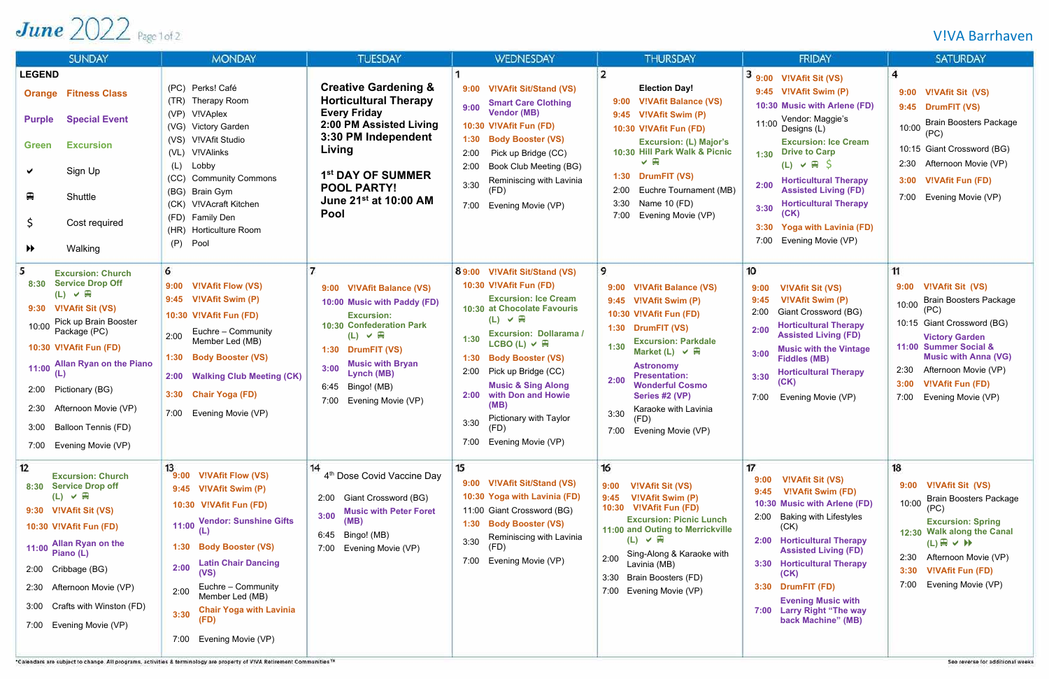### V!VA Barrhaven

## June  $2022$  Page 1 of 2

| <b>SUNDAY</b>                                                                                                                                                                                                                                                                                                                                                              | <b>MONDAY</b>                                                                                                                                                                                                                                                                                                                   | <b>TUESDAY</b>                                                                                                                                                                                                                                                       | <b>WEDNESDAY</b>                                                                                                                                                                                                                                                                                                                                                                                                            | <b>THURSDAY</b>                                                                                                                                                                                                                                                                                                                                           | <b>FRIDAY</b>                                                                                                                                                                                                                                                                                                                                                                                         | <b>SATURDAY</b>                                                                                                                                                                                                                                                                         |
|----------------------------------------------------------------------------------------------------------------------------------------------------------------------------------------------------------------------------------------------------------------------------------------------------------------------------------------------------------------------------|---------------------------------------------------------------------------------------------------------------------------------------------------------------------------------------------------------------------------------------------------------------------------------------------------------------------------------|----------------------------------------------------------------------------------------------------------------------------------------------------------------------------------------------------------------------------------------------------------------------|-----------------------------------------------------------------------------------------------------------------------------------------------------------------------------------------------------------------------------------------------------------------------------------------------------------------------------------------------------------------------------------------------------------------------------|-----------------------------------------------------------------------------------------------------------------------------------------------------------------------------------------------------------------------------------------------------------------------------------------------------------------------------------------------------------|-------------------------------------------------------------------------------------------------------------------------------------------------------------------------------------------------------------------------------------------------------------------------------------------------------------------------------------------------------------------------------------------------------|-----------------------------------------------------------------------------------------------------------------------------------------------------------------------------------------------------------------------------------------------------------------------------------------|
| <b>LEGEND</b><br><b>Orange Fitness Class</b><br><b>Special Event</b><br><b>Purple</b><br><b>Excursion</b><br><b>Green</b><br>Sign Up<br>₽<br>Shuttle<br>\$.<br>Cost required<br>Walking<br>$\blacktriangleright$                                                                                                                                                           | (PC) Perks! Café<br>(TR)<br>Therapy Room<br>(VP)<br>V!VAplex<br>(VG)<br><b>Victory Garden</b><br>V!VAfit Studio<br>(VS)<br><b>V!VAlinks</b><br>(V <sub>L</sub> )<br>Lobby<br>(L)<br><b>Community Commons</b><br>(CC)<br>(BG) Brain Gym<br>V!VAcraft Kitchen<br>(CK)<br>(FD) Family Den<br>(HR) Horticulture Room<br>(P)<br>Pool | <b>Creative Gardening &amp;</b><br><b>Horticultural Therapy</b><br><b>Every Friday</b><br>2:00 PM Assisted Living<br>3:30 PM Independent<br>Living<br>1 <sup>st</sup> DAY OF SUMMER<br><b>POOL PARTY!</b><br>June 21 <sup>st</sup> at 10:00 AM<br>Pool               | <b>V!VAfit Sit/Stand (VS)</b><br>9:00<br><b>Smart Care Clothing</b><br>9:00<br><b>Vendor (MB)</b><br>10:30 V!VAfit Fun (FD)<br><b>Body Booster (VS)</b><br>1:30<br>2:00<br>Pick up Bridge (CC)<br>Book Club Meeting (BG)<br>2:00<br>Reminiscing with Lavinia<br>3:30<br>(FD)<br>Evening Movie (VP)<br>7:00                                                                                                                  | <b>Election Day!</b><br><b>V!VAfit Balance (VS)</b><br>9:00<br>9:45 V!VAfit Swim (P)<br>10:30 V!VAfit Fun (FD)<br><b>Excursion: (L) Major's</b><br>10:30 Hill Park Walk & Picnic<br>$\vee$<br>1:30 DrumFIT (VS)<br>Euchre Tournament (MB)<br>2:00<br>Name 10 (FD)<br>3:30<br>7:00<br>Evening Movie (VP)                                                   | $3$ 9:00 VIVAfit Sit (VS)<br>9:45 V!VAfit Swim (P)<br>10:30 Music with Arlene (FD)<br>Vendor: Maggie's<br>11:00<br>Designs (L)<br><b>Excursion: Ice Cream</b><br>1:30 Drive to Carp<br>$(L) \vee \mathbb{H}$ \$<br><b>Horticultural Therapy</b><br>2:00<br><b>Assisted Living (FD)</b><br><b>Horticultural Therapy</b><br>3:30<br><b>Yoga with Lavinia (FD)</b><br>3:30<br>7:00<br>Evening Movie (VP) | $\boldsymbol{4}$<br><b>V!VAfit Sit (VS)</b><br>9:00<br>9:45 DrumFIT (VS)<br><b>Brain Boosters Package</b><br>10:00<br>(PC)<br>10:15 Giant Crossword (BG)<br>Afternoon Movie (VP)<br>2:30<br><b>V!VAfit Fun (FD)</b><br>3:00<br>7:00<br>Evening Movie (VP)                               |
| <b>Excursion: Church</b><br><b>Service Drop Off</b><br>8:30<br>$(L) \vee \mathbb{R}$<br><b>V!VAfit Sit (VS)</b><br>9:30<br>Pick up Brain Booster<br>10:00<br>Package (PC)<br>10:30 V!VAfit Fun (FD)<br><b>Allan Ryan on the Piano</b><br>11:00<br>(L)<br>Pictionary (BG)<br>2:00<br>Afternoon Movie (VP)<br>2:30<br>Balloon Tennis (FD)<br>3:00<br>7:00 Evening Movie (VP) | 6<br><b>V!VAfit Flow (VS)</b><br>9:00<br>9:45 V!VAfit Swim (P)<br>10:30 V!VAfit Fun (FD)<br>Euchre - Community<br>2:00<br>Member Led (MB)<br><b>Body Booster (VS)</b><br>1:30<br><b>Walking Club Meeting (CK)</b><br>2:00<br>3:30<br><b>Chair Yoga (FD)</b><br>7:00<br>Evening Movie (VP)                                       | 9:00 V!VAfit Balance (VS)<br>10:00 Music with Paddy (FD)<br><b>Excursion:</b><br><b>10:30 Confederation Park</b><br>$(L) \vee \mathbb{R}$<br>1:30 DrumFIT (VS)<br><b>Music with Bryan</b><br>3:00<br>Lynch (MB)<br>6:45<br>Bingo! (MB)<br>7:00<br>Evening Movie (VP) | 8 9:00 V!VAfit Sit/Stand (VS)<br>10:30 V!VAfit Fun (FD)<br><b>Excursion: Ice Cream</b><br>10:30 at Chocolate Favouris<br>$(L) \vee \mathbb{R}$<br><b>Excursion: Dollarama /</b><br>1:30<br>LCBO (L) $\vee$ H<br><b>Body Booster (VS)</b><br>1:30<br>2:00<br>Pick up Bridge (CC)<br><b>Music &amp; Sing Along</b><br>with Don and Howie<br>2:00<br>(MB)<br>Pictionary with Taylor<br>3:30<br>'FD)<br>7:00 Evening Movie (VP) | 9<br><b>V!VAfit Balance (VS)</b><br>9:00<br>9:45 V!VAfit Swim (P)<br>10:30 V!VAfit Fun (FD)<br>1:30 DrumFIT (VS)<br><b>Excursion: Parkdale</b><br>1:30<br>Market (L) $\vee \mathbb{R}$<br><b>Astronomy</b><br><b>Presentation:</b><br>2:00<br><b>Wonderful Cosmo</b><br>Series #2 (VP)<br>Karaoke with Lavinia<br>3:30<br>(FD)<br>7:00 Evening Movie (VP) | 10<br><b>V!VAfit Sit (VS)</b><br>9:00<br><b>V!VAfit Swim (P)</b><br>9:45<br>Giant Crossword (BG)<br>2:00<br><b>Horticultural Therapy</b><br>2:00<br><b>Assisted Living (FD)</b><br><b>Music with the Vintage</b><br>3:00<br><b>Fiddles (MB)</b><br><b>Horticultural Therapy</b><br>3:30<br>(CK)<br>7:00<br>Evening Movie (VP)                                                                         | 11<br><b>V!VAfit Sit (VS)</b><br>9:00<br><b>Brain Boosters Package</b><br>10:00<br>10:15 Giant Crossword (BG)<br><b>Victory Garden</b><br>11:00 Summer Social &<br><b>Music with Anna (VG)</b><br>Afternoon Movie (VP)<br><b>V!VAfit Fun (FD)</b><br>3:00<br>7:00<br>Evening Movie (VP) |
| 12<br><b>Excursion: Church</b><br>8:30 Service Drop off<br>$(L) \vee \mathbb{R}$<br>9:30 V!VAfit Sit (VS)<br>10:30 V!VAfit Fun (FD)<br><b>Allan Ryan on the</b><br>11:00<br>Piano (L)<br>2:00 Cribbage (BG)<br>2:30 Afternoon Movie (VP)<br>Crafts with Winston (FD)<br>3:00<br>7:00 Evening Movie (VP)                                                                    | 13<br>9:00 V!VAfit Flow (VS)<br>9:45 V!VAfit Swim (P)<br>10:30 V!VAfit Fun (FD)<br><b>Vendor: Sunshine Gifts</b><br>11:00<br>1:30 Body Booster (VS)<br><b>Latin Chair Dancing</b><br>2:00<br>(VS)<br>Euchre - Community<br>2:00<br>Member Led (MB)<br><b>Chair Yoga with Lavinia</b><br>3:30<br>Evening Movie (VP)<br>7:00      | 14<br>4 <sup>th</sup> Dose Covid Vaccine Day<br>Giant Crossword (BG)<br>2:00<br><b>Music with Peter Foret</b><br>3:00<br>(MB)<br>Bingo! (MB)<br>6:45<br>Evening Movie (VP)<br>7:00                                                                                   | 15<br><b>V!VAfit Sit/Stand (VS)</b><br>9:00<br>10:30 Yoga with Lavinia (FD)<br>11:00 Giant Crossword (BG)<br>1:30 Body Booster (VS)<br>Reminiscing with Lavinia<br>3:30<br>Evening Movie (VP)<br>7:00                                                                                                                                                                                                                       | 16<br><b>V!VAfit Sit (VS)</b><br>9:00<br>V!VAfit Swim (P)<br>9:45<br>10:30 V!VAfit Fun (FD)<br><b>Excursion: Picnic Lunch</b><br>11:00 and Outing to Merrickville<br>$(L) \vee \mathbb{R}$<br>Sing-Along & Karaoke with<br>2:00<br>Lavinia (MB)<br>3:30<br>Brain Boosters (FD)<br>Evening Movie (VP)<br>7:00                                              | 17<br><b>V!VAfit Sit (VS)</b><br>9:00<br><b>V!VAfit Swim (FD)</b><br>9:45<br>10:30 Music with Arlene (FD)<br><b>Baking with Lifestyles</b><br>2:00<br>(CK)<br>2:00 Horticultural Therapy<br><b>Assisted Living (FD)</b><br>3:30 Horticultural Therapy<br>(CK)<br>3:30 DrumFIT (FD)<br><b>Evening Music with</b><br>7:00 Larry Right "The way<br>back Machine" (MB)                                    | 18<br>9:00 V!VAfit Sit (VS)<br><b>Brain Boosters Package</b><br>10:00<br>(PC)<br><b>Excursion: Spring</b><br>12:30 Walk along the Canal<br>$(L) \oplus \vee \mathbb{H}$<br>2:30<br>Afternoon Movie (VP)<br><b>V!VAfit Fun (FD)</b><br>3:30<br>Evening Movie (VP)<br>7:00                |

ire subject to ch. nge. All programs, activities & term logy are